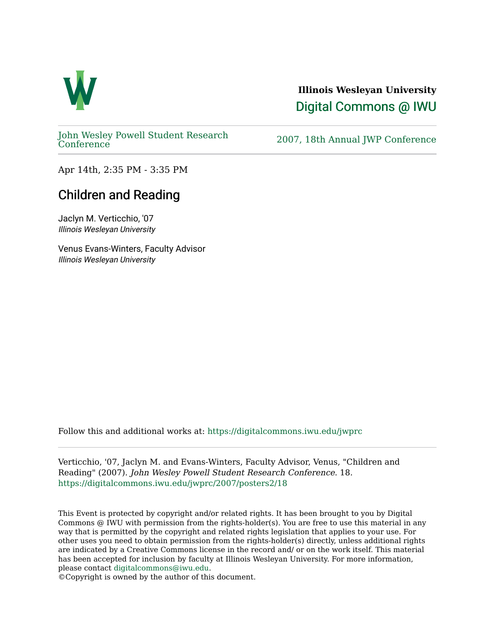

## **Illinois Wesleyan University**  [Digital Commons @ IWU](https://digitalcommons.iwu.edu/)

[John Wesley Powell Student Research](https://digitalcommons.iwu.edu/jwprc) 

2007, 18th Annual JWP [Conference](https://digitalcommons.iwu.edu/jwprc)

Apr 14th, 2:35 PM - 3:35 PM

## Children and Reading

Jaclyn M. Verticchio, '07 Illinois Wesleyan University

Venus Evans-Winters, Faculty Advisor Illinois Wesleyan University

Follow this and additional works at: [https://digitalcommons.iwu.edu/jwprc](https://digitalcommons.iwu.edu/jwprc?utm_source=digitalcommons.iwu.edu%2Fjwprc%2F2007%2Fposters2%2F18&utm_medium=PDF&utm_campaign=PDFCoverPages) 

Verticchio, '07, Jaclyn M. and Evans-Winters, Faculty Advisor, Venus, "Children and Reading" (2007). John Wesley Powell Student Research Conference. 18. [https://digitalcommons.iwu.edu/jwprc/2007/posters2/18](https://digitalcommons.iwu.edu/jwprc/2007/posters2/18?utm_source=digitalcommons.iwu.edu%2Fjwprc%2F2007%2Fposters2%2F18&utm_medium=PDF&utm_campaign=PDFCoverPages) 

This Event is protected by copyright and/or related rights. It has been brought to you by Digital Commons @ IWU with permission from the rights-holder(s). You are free to use this material in any way that is permitted by the copyright and related rights legislation that applies to your use. For other uses you need to obtain permission from the rights-holder(s) directly, unless additional rights are indicated by a Creative Commons license in the record and/ or on the work itself. This material has been accepted for inclusion by faculty at Illinois Wesleyan University. For more information, please contact [digitalcommons@iwu.edu.](mailto:digitalcommons@iwu.edu)

©Copyright is owned by the author of this document.